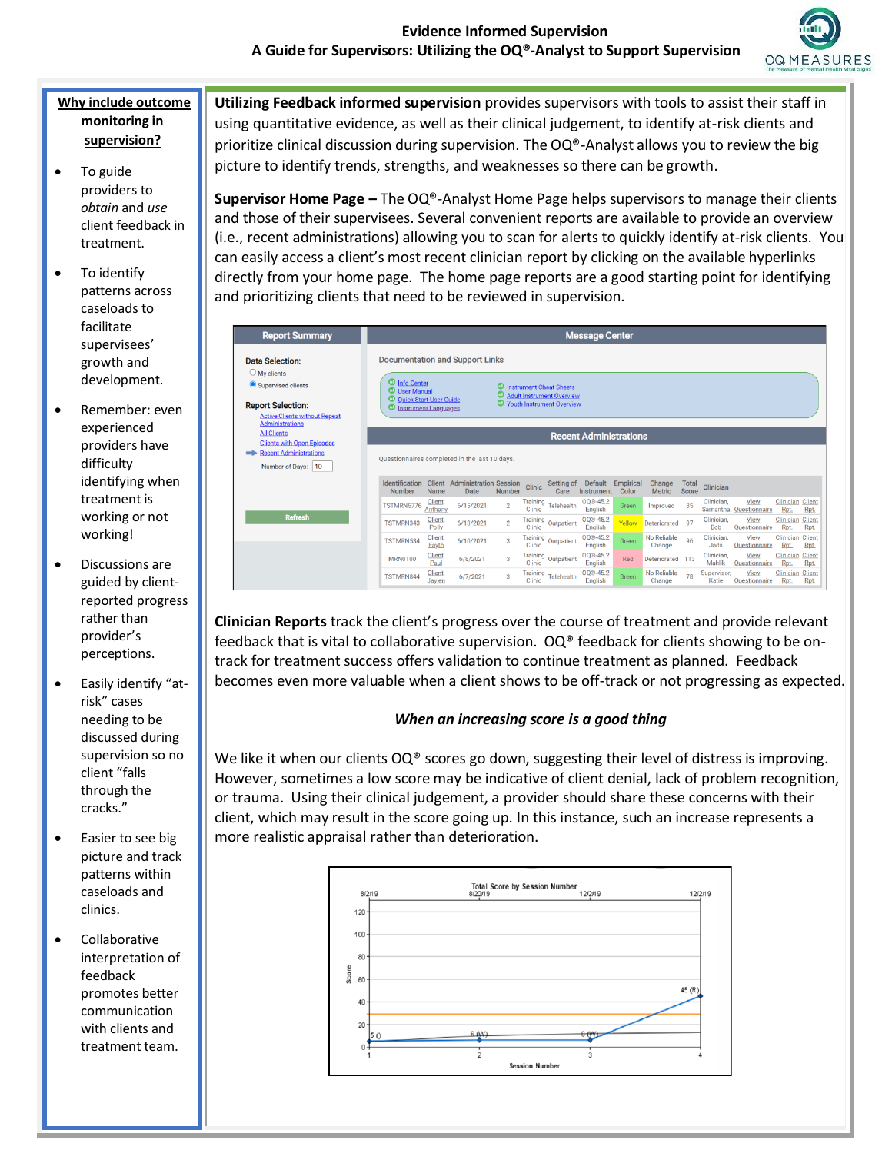

## **Why include outcome monitoring in supervision?**

- To guide providers to *obtain* and *use* client feedback in treatment.
- To identify patterns across caseloads to facilitate supervisees' growth and development.
- Remember: even experienced providers have difficulty identifying when treatment is working or not working!
- Discussions are guided by clientreported progress rather than provider's perceptions.
- Easily identify "atrisk" cases needing to be discussed during supervision so no client "falls through the cracks."
- Easier to see big picture and track patterns within caseloads and clinics.
- Collaborative interpretation of feedback promotes better communication with clients and treatment team.

**Utilizing Feedback informed supervision** provides supervisors with tools to assist their staff in using quantitative evidence, as well as their clinical judgement, to identify at-risk clients and prioritize clinical discussion during supervision. The OQ®-Analyst allows you to review the big picture to identify trends, strengths, and weaknesses so there can be growth.

**Supervisor Home Page –** The OQ®-Analyst Home Page helps supervisors to manage their clients and those of their supervisees. Several convenient reports are available to provide an overview (i.e., recent administrations) allowing you to scan for alerts to quickly identify at-risk clients. You can easily access a client's most recent clinician report by clicking on the available hyperlinks directly from your home page. The home page reports are a good starting point for identifying and prioritizing clients that need to be reviewed in supervision.

| <b>Report Summary</b>                                                                                                                                        |                                                                                                                                                               |                    |                                                     |                |                           |                                                                                                              | <b>Message Center</b>         |                    |                         |                       |                          |                                |                                |                             |
|--------------------------------------------------------------------------------------------------------------------------------------------------------------|---------------------------------------------------------------------------------------------------------------------------------------------------------------|--------------------|-----------------------------------------------------|----------------|---------------------------|--------------------------------------------------------------------------------------------------------------|-------------------------------|--------------------|-------------------------|-----------------------|--------------------------|--------------------------------|--------------------------------|-----------------------------|
| Data Selection:<br>$\bigcirc$ My clients<br>Supervised clients<br><b>Report Selection:</b><br><b>Active Clients without Repeat</b><br><b>Administrations</b> | <b>Documentation and Support Links</b><br><sup>1</sup> Info Center<br><b>W</b> User Manual<br><b>CD</b> Quick Start User Guide<br><b>Instrument Languages</b> |                    |                                                     | ω              |                           | <b>Instrument Cheat Sheets</b><br><b>Adult Instrument Overview</b><br><sup>1</sup> Youth Instrument Overview |                               |                    |                         |                       |                          |                                |                                |                             |
| <b>All Clients</b><br><b>Clients with Open Episodes</b>                                                                                                      |                                                                                                                                                               |                    |                                                     |                |                           |                                                                                                              | <b>Recent Administrations</b> |                    |                         |                       |                          |                                |                                |                             |
| <b>Recent Administrations</b><br>Number of Days:<br>10                                                                                                       | Questionnaires completed in the last 10 days.                                                                                                                 |                    |                                                     |                |                           |                                                                                                              |                               |                    |                         |                       |                          |                                |                                |                             |
|                                                                                                                                                              | Identification<br>Number                                                                                                                                      | Name               | <b>Client</b> Administration Session<br><b>Date</b> | <b>Number</b>  | Clinic                    | Setting of<br>Care                                                                                           | Default<br>Instrument         | Empirical<br>Color | Change<br><b>Metric</b> | <b>Total</b><br>Score | Clinician                |                                |                                |                             |
|                                                                                                                                                              | TSTMRN6776                                                                                                                                                    | Client.<br>Anthony | 6/15/2021                                           | $\overline{2}$ | Training<br>Clinic        | Telehealth                                                                                                   | OO®-45.2<br>English           | Green              | Improved                | 85                    | Clinician,               | View<br>Samantha Questionnaire | <b>Clinician Client</b><br>Rpt | Rpt.                        |
| <b>Refresh</b>                                                                                                                                               | TSTMRN343                                                                                                                                                     | Client,<br>Polly   | 6/13/2021                                           | $\overline{2}$ | Training<br>Clinic        | Outpatient                                                                                                   | OO®-45.2<br>English           | Yellow             | Deteriorated            | 97                    | Clinician.<br><b>Bob</b> | View<br>Questionnaire          | Clinician<br><b>Rpt</b>        | Client<br>Rpt.              |
|                                                                                                                                                              | TSTMRN534                                                                                                                                                     | Client,<br>Fayth   | 6/10/2021                                           | $\mathbf{3}$   | Clinic                    | Training Outpatient                                                                                          | OQ®-45.2<br>English           | Green              | No Reliable<br>Change   | 96                    | Clinician.<br>Jada       | View<br>Questionnaire          | Clinician<br>Rpt.              | Client<br><b>Rpt</b>        |
|                                                                                                                                                              | <b>MRN0100</b>                                                                                                                                                | Client,<br>Paul    | 6/8/2021                                            | $\mathbf{3}$   | Clinic                    | Training Outpatient                                                                                          | OO®-45.2<br>English           | Red                | Deteriorated 113        |                       | Clinician.<br>Mahlik     | View<br>Questionnaire          | Clinician<br><b>Rpt</b>        | <b>Client</b><br><b>Rpt</b> |
|                                                                                                                                                              | <b>TSTMRN844</b>                                                                                                                                              | Client.<br>Jaylen  | 6/7/2021                                            | $\overline{3}$ | <b>Training</b><br>Clinic | Telehealth                                                                                                   | 00®-45.2<br>English           | Green              | No Reliable<br>Change   | 78                    | Supervisor<br>Katie      | View<br><b>Questionnaire</b>   | Clinician<br><b>Rpt</b>        | <b>Client</b><br>Rpt.       |

**Clinician Reports** track the client's progress over the course of treatment and provide relevant feedback that is vital to collaborative supervision.  $OQ^{\otimes}$  feedback for clients showing to be ontrack for treatment success offers validation to continue treatment as planned. Feedback becomes even more valuable when a client shows to be off-track or not progressing as expected.

# *When an increasing score is a good thing*

We like it when our clients OQ® scores go down, suggesting their level of distress is improving. However, sometimes a low score may be indicative of client denial, lack of problem recognition, or trauma. Using their clinical judgement, a provider should share these concerns with their client, which may result in the score going up. In this instance, such an increase represents a more realistic appraisal rather than deterioration.

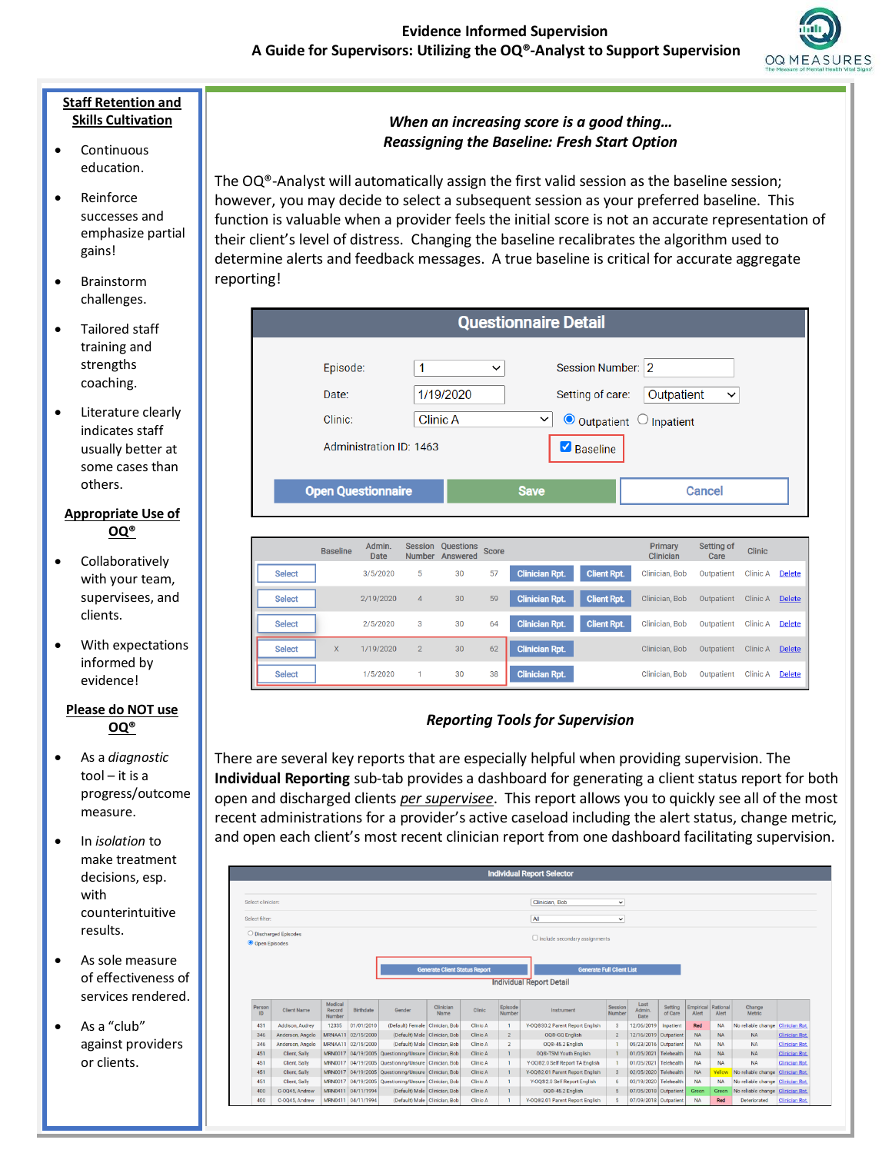

#### **Staff Retention and Skills Cultivation**

- Continuous education.
- Reinforce successes and emphasize partial gains!
- **Brainstorm** challenges.
- Tailored staff training and strengths coaching.
- Literature clearly indicates staff usually better at some cases than others.

#### **Appropriate Use of OQ®**

- Collaboratively with your team, supervisees, and clients.
- With expectations informed by evidence!

#### **Please do NOT use OQ®**

- As a *diagnostic*  tool – it is a progress/outcome measure.
- In *isolation* to make treatment decisions, esp. with counterintuitive results.
- As sole measure of effectiveness of services rendered.
- As a "club" against providers or clients.

# *When an increasing score is a good thing… Reassigning the Baseline: Fresh Start Option*

The  $OQ^{\circ}$ -Analyst will automatically assign the first valid session as the baseline session; however, you may decide to select a subsequent session as your preferred baseline. This function is valuable when a provider feels the initial score is not an accurate representation of their client's level of distress. Changing the baseline recalibrates the algorithm used to determine alerts and feedback messages. A true baseline is critical for accurate aggregate reporting!

|               |                              |                         |                                 |                              |              | <b>Questionnaire Detail</b> |                                                        |                                                                        |                    |                 |               |
|---------------|------------------------------|-------------------------|---------------------------------|------------------------------|--------------|-----------------------------|--------------------------------------------------------|------------------------------------------------------------------------|--------------------|-----------------|---------------|
|               | Episode:<br>Date:<br>Clinic: | Administration ID: 1463 | 1                               | 1/19/2020<br><b>Clinic A</b> | $\checkmark$ | $\check{~}$<br>☑            | Session Number:<br>Setting of care:<br><b>Baseline</b> | $\overline{2}$<br>Outpatient<br>$\bullet$ Outpatient $\circ$ Inpatient | $\check{ }$        |                 |               |
|               | <b>Open Questionnaire</b>    |                         |                                 |                              |              | <b>Save</b>                 |                                                        |                                                                        | <b>Cancel</b>      |                 |               |
|               | <b>Baseline</b>              | Admin.                  |                                 |                              |              |                             |                                                        |                                                                        |                    |                 |               |
|               |                              | <b>Date</b>             | <b>Session</b><br><b>Number</b> | <b>Questions</b><br>Answered | <b>Score</b> |                             |                                                        | Primary<br>Clinician                                                   | Setting of<br>Care | <b>Clinic</b>   |               |
| <b>Select</b> |                              | 3/5/2020                | 5                               | 30                           | 57           | <b>Clinician Rpt.</b>       | <b>Client Rpt.</b>                                     | Clinician, Bob                                                         | Outpatient         | <b>Clinic A</b> | <b>Delete</b> |
| <b>Select</b> |                              | 2/19/2020               | $\overline{4}$                  | 30                           | 59           | <b>Clinician Rpt.</b>       | <b>Client Rpt.</b>                                     | Clinician, Bob                                                         | Outpatient         | Clinic A        | <b>Delete</b> |
| <b>Select</b> |                              | 2/5/2020                | 3                               | 30                           | 64           | <b>Clinician Rpt.</b>       | <b>Client Rpt.</b>                                     | Clinician, Bob                                                         | Outpatient         | <b>Clinic A</b> | <b>Delete</b> |
| <b>Select</b> | $\mathsf{X}$                 | 1/19/2020               | $\overline{2}$                  | 30                           | 62           | <b>Clinician Rpt.</b>       |                                                        | Clinician, Bob                                                         | Outpatient         | Clinic A        | <b>Delete</b> |

# *Reporting Tools for Supervision*

There are several key reports that are especially helpful when providing supervision. The **Individual Reporting** sub-tab provides a dashboard for generating a client status report for both open and discharged clients *per supervisee*. This report allows you to quickly see all of the most recent administrations for a provider's active caseload including the alert status, change metric, and open each client's most recent clinician report from one dashboard facilitating supervision.

| <b>Individual Report Selector</b> |                       |                             |                    |                                                      |                                      |          |                   |                                      |                   |                       |                    |                    |                   |                                   |                                                |
|-----------------------------------|-----------------------|-----------------------------|--------------------|------------------------------------------------------|--------------------------------------|----------|-------------------|--------------------------------------|-------------------|-----------------------|--------------------|--------------------|-------------------|-----------------------------------|------------------------------------------------|
|                                   |                       |                             |                    |                                                      |                                      |          |                   |                                      |                   |                       |                    |                    |                   |                                   |                                                |
| Select clinician:                 |                       |                             |                    |                                                      |                                      |          |                   | Clinician. Bob                       | $\check{~}$       |                       |                    |                    |                   |                                   |                                                |
| Select filter:                    |                       |                             |                    |                                                      |                                      |          |                   |                                      |                   |                       |                    |                    |                   |                                   |                                                |
|                                   |                       |                             |                    |                                                      |                                      |          |                   | All                                  | $\checkmark$      |                       |                    |                    |                   |                                   |                                                |
|                                   | O Discharged Episodes |                             |                    |                                                      |                                      |          |                   | $\Box$ Include secondary assignments |                   |                       |                    |                    |                   |                                   |                                                |
| O Open Episodes                   |                       |                             |                    |                                                      |                                      |          |                   |                                      |                   |                       |                    |                    |                   |                                   |                                                |
|                                   |                       |                             |                    |                                                      |                                      |          |                   |                                      |                   |                       |                    |                    |                   |                                   |                                                |
|                                   |                       |                             |                    |                                                      | <b>Generate Client Status Report</b> |          |                   | <b>Generate Full Client List</b>     |                   |                       |                    |                    |                   |                                   |                                                |
| <b>Individual Report Detail</b>   |                       |                             |                    |                                                      |                                      |          |                   |                                      |                   |                       |                    |                    |                   |                                   |                                                |
|                                   |                       |                             |                    |                                                      |                                      |          |                   |                                      |                   |                       |                    |                    |                   |                                   |                                                |
| Person                            |                       |                             |                    |                                                      |                                      |          |                   |                                      |                   | Last                  |                    |                    |                   |                                   |                                                |
| ID                                | <b>Client Name</b>    | Medical<br>Record<br>Number | Birthdate          | Gender                                               | Clinician<br>Name                    | Clinic   | Episode<br>Number | Instrument                           | Session<br>Number | Admin.<br>Date        | Setting<br>of Care | Empirical<br>Alert | Rational<br>Alert | Change<br>Metric                  |                                                |
| 431                               | Addison, Audrey       | 12335                       | 01/01/2010         | (Default) Female   Clinician, Bob                    |                                      | Clinic A | $\mathbf{1}$      | Y-OQ®30.2 Parent Report English      |                   | 12/06/2019            | Inpatient          | Red                | <b>NA</b>         | No reliable change Clinician Rpt. |                                                |
| 346                               | Anderson, Angelo      |                             | MRNAA11 02/15/2000 | (Default) Male   Clinician, Bob                      |                                      | Clinic A | $\overline{2}$    | 008-GO English                       | $\overline{2}$    | 12/16/2019 Outpatient |                    | <b>NA</b>          | <b>NA</b>         | <b>NA</b>                         |                                                |
| 346                               | Anderson, Angelo      |                             | MRNAA11 02/15/2000 | (Default) Male   Clinician, Bob                      |                                      | Clinic A | $\overline{2}$    | OQ®-45.2 English                     |                   | 05/23/2016 Outpatient |                    | <b>NA</b>          | <b>NA</b>         | <b>NA</b>                         | <b>Clinician Rpt.</b><br><b>Clinician Rpt.</b> |
| 451                               | Client, Sally         |                             |                    | MRN0017 04/19/2005 Questioning/Unsure Clinician, Bob |                                      | Clinic A | $\mathbf{1}$      | 00®-TSM Youth English                |                   | 01/05/2021 Telehealth |                    | <b>NA</b>          | <b>NA</b>         | <b>NA</b>                         | Clinician Rpt.                                 |
| 451                               | Client, Sally         |                             |                    | MRN0017 04/19/2005 Questioning/Unsure Clinician, Bob |                                      | Clinic A | $\mathbf{1}$      | Y-OQ®2.0 Self Report TA English      |                   | 01/05/2021            | Telehealth         | <b>NA</b>          | <b>NA</b>         | <b>NA</b>                         | <b>Clinician Rpt.</b>                          |
| 451                               | Client, Sally         |                             |                    | MRN0017 04/19/2005 Questioning/Unsure Clinician, Bob |                                      | Clinic A | $\mathbf{1}$      | Y-OQ®2.01 Parent Report English      |                   | 02/05/2020 Telehealth |                    | <b>NA</b>          | Yellow            | No reliable change                | <b>Clinician Rpt.</b>                          |
| 451                               | Client, Sally         |                             |                    | MRN0017 04/19/2005 Questioning/Unsure Clinician, Bob |                                      | Clinic A | $\mathbf{1}$      | Y-0082.0 Self Report English         |                   | 03/19/2020 Telehealth |                    | <b>NA</b>          | <b>NA</b>         | No reliable change                | <b>Clinician Rpt.</b>                          |
| 400                               | C-O045, Andrew        |                             | MRN0411 04/11/1994 | (Default) Male   Clinician, Bob                      |                                      | Clinic A | $\mathbf{1}$      | 008-45.2 English                     | 5                 | 07/05/2018 Outpatient |                    | Green              | Green             | No reliable change                | <b>Clinician Rpt.</b>                          |